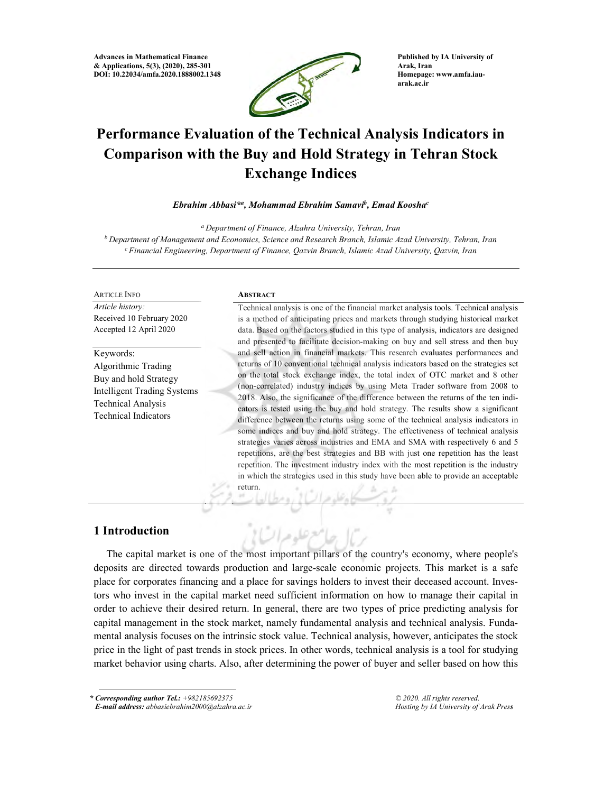Advances in Mathematical Finance & Applications, 5(3), (2020), 285-301 DOI: 10.22034/amfa.2020.1888002.1348



Published by IA University of Arak, Iran Homepage: www.amfa.iauarak.ac.ir

# Performance Evaluation of the Technical Analysis Indicators in Comparison with the Buy and Hold Strategy in Tehran Stock Exchange Indices

#### Ebrahim Abbasi\*<sup>a</sup>, Mohammad Ebrahim Samavi<sup>b</sup>, Emad Koosha<sup>c</sup>

<sup>a</sup> Department of Finance, Alzahra University, Tehran, Iran

 $b$  Department of Management and Economics, Science and Research Branch, Islamic Azad University, Tehran, Iran  $c$  Financial Engineering, Department of Finance, Qazvin Branch, Islamic Azad University, Qazvin, Iran

#### ARTICLE INFO

Article history: Received 10 February 2020 Accepted 12 April 2020

Keywords: Algorithmic Trading Buy and hold Strategy Intelligent Trading Systems Technical Analysis Technical Indicators

#### **ABSTRACT**

Technical analysis is one of the financial market analysis tools. Technical analysis is a method of anticipating prices and markets through studying historical market data. Based on the factors studied in this type of analysis, indicators are designed and presented to facilitate decision-making on buy and sell stress and then buy and sell action in financial markets. This research evaluates performances and returns of 10 conventional technical analysis indicators based on the strategies set on the total stock exchange index, the total index of OTC market and 8 other (non-correlated) industry indices by using Meta Trader software from 2008 to 2018. Also, the significance of the difference between the returns of the ten indicators is tested using the buy and hold strategy. The results show a significant difference between the returns using some of the technical analysis indicators in some indices and buy and hold strategy. The effectiveness of technical analysis strategies varies across industries and EMA and SMA with respectively 6 and 5 repetitions, are the best strategies and BB with just one repetition has the least repetition. The investment industry index with the most repetition is the industry in which the strategies used in this study have been able to provide an acceptable return.

v

## 1 Introduction

The capital market is one of the most important pillars of the country's economy, where people's deposits are directed towards production and large-scale economic projects. This market is a safe place for corporates financing and a place for savings holders to invest their deceased account. Investors who invest in the capital market need sufficient information on how to manage their capital in order to achieve their desired return. In general, there are two types of price predicting analysis for capital management in the stock market, namely fundamental analysis and technical analysis. Fundamental analysis focuses on the intrinsic stock value. Technical analysis, however, anticipates the stock price in the light of past trends in stock prices. In other words, technical analysis is a tool for studying market behavior using charts. Also, after determining the power of buyer and seller based on how this

حرعله مراتبا إ

\* Corresponding author Tel.: +982185692375

© 2020. All rights reserved. Hosting by IA University of Arak Press

E-mail address: abbasiebrahim2000@alzahra.ac.ir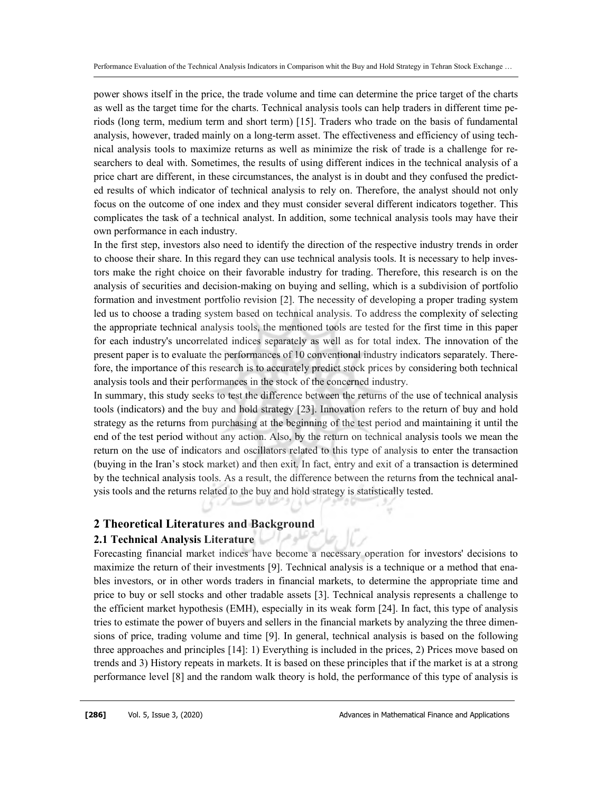power shows itself in the price, the trade volume and time can determine the price target of the charts as well as the target time for the charts. Technical analysis tools can help traders in different time periods (long term, medium term and short term) [15]. Traders who trade on the basis of fundamental analysis, however, traded mainly on a long-term asset. The effectiveness and efficiency of using technical analysis tools to maximize returns as well as minimize the risk of trade is a challenge for researchers to deal with. Sometimes, the results of using different indices in the technical analysis of a price chart are different, in these circumstances, the analyst is in doubt and they confused the predicted results of which indicator of technical analysis to rely on. Therefore, the analyst should not only focus on the outcome of one index and they must consider several different indicators together. This complicates the task of a technical analyst. In addition, some technical analysis tools may have their own performance in each industry.

In the first step, investors also need to identify the direction of the respective industry trends in order to choose their share. In this regard they can use technical analysis tools. It is necessary to help investors make the right choice on their favorable industry for trading. Therefore, this research is on the analysis of securities and decision-making on buying and selling, which is a subdivision of portfolio formation and investment portfolio revision [2]. The necessity of developing a proper trading system led us to choose a trading system based on technical analysis. To address the complexity of selecting the appropriate technical analysis tools, the mentioned tools are tested for the first time in this paper for each industry's uncorrelated indices separately as well as for total index. The innovation of the present paper is to evaluate the performances of 10 conventional industry indicators separately. Therefore, the importance of this research is to accurately predict stock prices by considering both technical analysis tools and their performances in the stock of the concerned industry.

In summary, this study seeks to test the difference between the returns of the use of technical analysis tools (indicators) and the buy and hold strategy [23]. Innovation refers to the return of buy and hold strategy as the returns from purchasing at the beginning of the test period and maintaining it until the end of the test period without any action. Also, by the return on technical analysis tools we mean the return on the use of indicators and oscillators related to this type of analysis to enter the transaction (buying in the Iran's stock market) and then exit. In fact, entry and exit of a transaction is determined by the technical analysis tools. As a result, the difference between the returns from the technical analysis tools and the returns related to the buy and hold strategy is statistically tested.

# 2 Theoretical Literatures and Background

## 2.1 Technical Analysis Literature

Forecasting financial market indices have become a necessary operation for investors' decisions to maximize the return of their investments [9]. Technical analysis is a technique or a method that enables investors, or in other words traders in financial markets, to determine the appropriate time and price to buy or sell stocks and other tradable assets [3]. Technical analysis represents a challenge to the efficient market hypothesis (EMH), especially in its weak form [24]. In fact, this type of analysis tries to estimate the power of buyers and sellers in the financial markets by analyzing the three dimensions of price, trading volume and time [9]. In general, technical analysis is based on the following three approaches and principles [14]: 1) Everything is included in the prices, 2) Prices move based on trends and 3) History repeats in markets. It is based on these principles that if the market is at a strong performance level [8] and the random walk theory is hold, the performance of this type of analysis is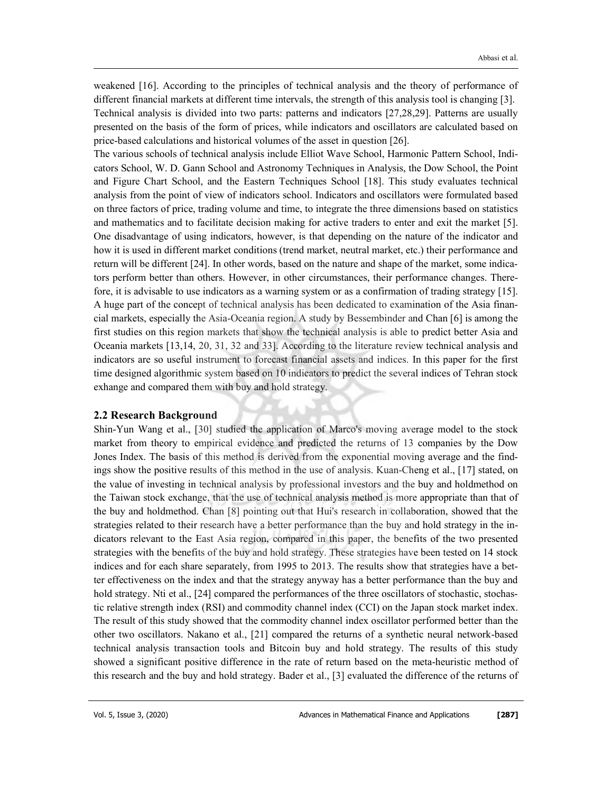weakened [16]. According to the principles of technical analysis and the theory of performance of different financial markets at different time intervals, the strength of this analysis tool is changing [3]. Technical analysis is divided into two parts: patterns and indicators [27,28,29]. Patterns are usually presented on the basis of the form of prices, while indicators and oscillators are calculated based on price-based calculations and historical volumes of the asset in question [26].

The various schools of technical analysis include Elliot Wave School, Harmonic Pattern School, Indicators School, W. D. Gann School and Astronomy Techniques in Analysis, the Dow School, the Point and Figure Chart School, and the Eastern Techniques School [18]. This study evaluates technical analysis from the point of view of indicators school. Indicators and oscillators were formulated based on three factors of price, trading volume and time, to integrate the three dimensions based on statistics and mathematics and to facilitate decision making for active traders to enter and exit the market [5]. One disadvantage of using indicators, however, is that depending on the nature of the indicator and how it is used in different market conditions (trend market, neutral market, etc.) their performance and return will be different [24]. In other words, based on the nature and shape of the market, some indicators perform better than others. However, in other circumstances, their performance changes. Therefore, it is advisable to use indicators as a warning system or as a confirmation of trading strategy [15]. A huge part of the concept of technical analysis has been dedicated to examination of the Asia financial markets, especially the Asia-Oceania region. A study by Bessembinder and Chan [6] is among the first studies on this region markets that show the technical analysis is able to predict better Asia and Oceania markets [13,14, 20, 31, 32 and 33]. According to the literature review technical analysis and indicators are so useful instrument to forecast financial assets and indices. In this paper for the first time designed algorithmic system based on 10 indicators to predict the several indices of Tehran stock exhange and compared them with buy and hold strategy.

#### 2.2 Research Background

Shin-Yun Wang et al., [30] studied the application of Marco's moving average model to the stock market from theory to empirical evidence and predicted the returns of 13 companies by the Dow Jones Index. The basis of this method is derived from the exponential moving average and the findings show the positive results of this method in the use of analysis. Kuan-Cheng et al., [17] stated, on the value of investing in technical analysis by professional investors and the buy and holdmethod on the Taiwan stock exchange, that the use of technical analysis method is more appropriate than that of the buy and holdmethod. Chan [8] pointing out that Hui's research in collaboration, showed that the strategies related to their research have a better performance than the buy and hold strategy in the indicators relevant to the East Asia region, compared in this paper, the benefits of the two presented strategies with the benefits of the buy and hold strategy. These strategies have been tested on 14 stock indices and for each share separately, from 1995 to 2013. The results show that strategies have a better effectiveness on the index and that the strategy anyway has a better performance than the buy and hold strategy. Nti et al., [24] compared the performances of the three oscillators of stochastic, stochastic relative strength index (RSI) and commodity channel index (CCI) on the Japan stock market index. The result of this study showed that the commodity channel index oscillator performed better than the other two oscillators. Nakano et al., [21] compared the returns of a synthetic neural network-based technical analysis transaction tools and Bitcoin buy and hold strategy. The results of this study showed a significant positive difference in the rate of return based on the meta-heuristic method of this research and the buy and hold strategy. Bader et al., [3] evaluated the difference of the returns of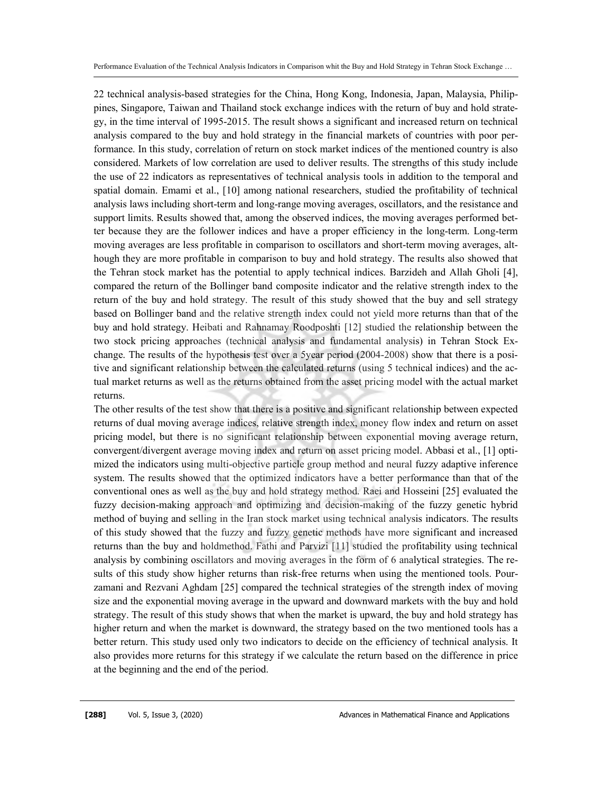22 technical analysis-based strategies for the China, Hong Kong, Indonesia, Japan, Malaysia, Philippines, Singapore, Taiwan and Thailand stock exchange indices with the return of buy and hold strategy, in the time interval of 1995-2015. The result shows a significant and increased return on technical analysis compared to the buy and hold strategy in the financial markets of countries with poor performance. In this study, correlation of return on stock market indices of the mentioned country is also considered. Markets of low correlation are used to deliver results. The strengths of this study include the use of 22 indicators as representatives of technical analysis tools in addition to the temporal and spatial domain. Emami et al., [10] among national researchers, studied the profitability of technical analysis laws including short-term and long-range moving averages, oscillators, and the resistance and support limits. Results showed that, among the observed indices, the moving averages performed better because they are the follower indices and have a proper efficiency in the long-term. Long-term moving averages are less profitable in comparison to oscillators and short-term moving averages, although they are more profitable in comparison to buy and hold strategy. The results also showed that the Tehran stock market has the potential to apply technical indices. Barzideh and Allah Gholi [4], compared the return of the Bollinger band composite indicator and the relative strength index to the return of the buy and hold strategy. The result of this study showed that the buy and sell strategy based on Bollinger band and the relative strength index could not yield more returns than that of the buy and hold strategy. Heibati and Rahnamay Roodposhti [12] studied the relationship between the two stock pricing approaches (technical analysis and fundamental analysis) in Tehran Stock Exchange. The results of the hypothesis test over a 5year period (2004-2008) show that there is a positive and significant relationship between the calculated returns (using 5 technical indices) and the actual market returns as well as the returns obtained from the asset pricing model with the actual market returns.

The other results of the test show that there is a positive and significant relationship between expected returns of dual moving average indices, relative strength index, money flow index and return on asset pricing model, but there is no significant relationship between exponential moving average return, convergent/divergent average moving index and return on asset pricing model. Abbasi et al., [1] optimized the indicators using multi-objective particle group method and neural fuzzy adaptive inference system. The results showed that the optimized indicators have a better performance than that of the conventional ones as well as the buy and hold strategy method. Raei and Hosseini [25] evaluated the fuzzy decision-making approach and optimizing and decision-making of the fuzzy genetic hybrid method of buying and selling in the Iran stock market using technical analysis indicators. The results of this study showed that the fuzzy and fuzzy genetic methods have more significant and increased returns than the buy and holdmethod. Fathi and Parvizi [11] studied the profitability using technical analysis by combining oscillators and moving averages in the form of 6 analytical strategies. The results of this study show higher returns than risk-free returns when using the mentioned tools. Pourzamani and Rezvani Aghdam [25] compared the technical strategies of the strength index of moving size and the exponential moving average in the upward and downward markets with the buy and hold strategy. The result of this study shows that when the market is upward, the buy and hold strategy has higher return and when the market is downward, the strategy based on the two mentioned tools has a better return. This study used only two indicators to decide on the efficiency of technical analysis. It also provides more returns for this strategy if we calculate the return based on the difference in price at the beginning and the end of the period.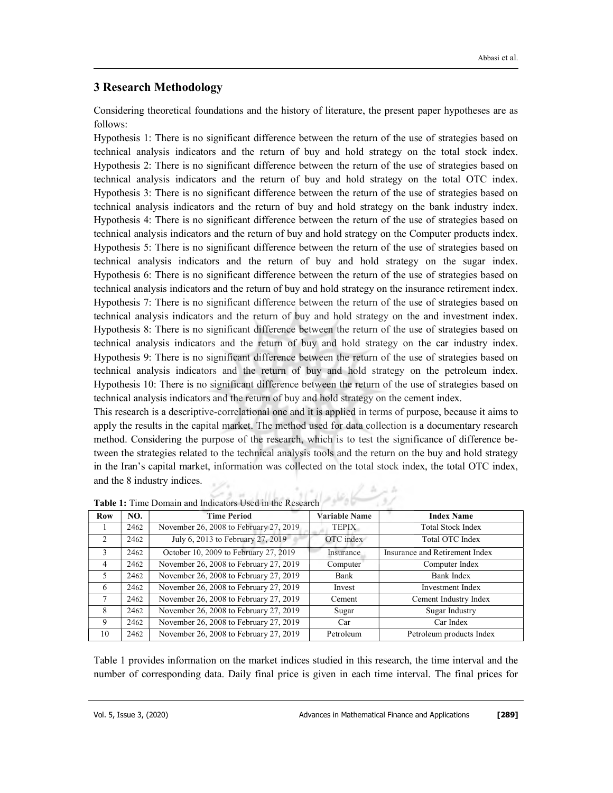# 3 Research Methodology

Considering theoretical foundations and the history of literature, the present paper hypotheses are as follows:

Hypothesis 1: There is no significant difference between the return of the use of strategies based on technical analysis indicators and the return of buy and hold strategy on the total stock index. Hypothesis 2: There is no significant difference between the return of the use of strategies based on technical analysis indicators and the return of buy and hold strategy on the total OTC index. Hypothesis 3: There is no significant difference between the return of the use of strategies based on technical analysis indicators and the return of buy and hold strategy on the bank industry index. Hypothesis 4: There is no significant difference between the return of the use of strategies based on technical analysis indicators and the return of buy and hold strategy on the Computer products index. Hypothesis 5: There is no significant difference between the return of the use of strategies based on technical analysis indicators and the return of buy and hold strategy on the sugar index. Hypothesis 6: There is no significant difference between the return of the use of strategies based on technical analysis indicators and the return of buy and hold strategy on the insurance retirement index. Hypothesis 7: There is no significant difference between the return of the use of strategies based on technical analysis indicators and the return of buy and hold strategy on the and investment index. Hypothesis 8: There is no significant difference between the return of the use of strategies based on technical analysis indicators and the return of buy and hold strategy on the car industry index. Hypothesis 9: There is no significant difference between the return of the use of strategies based on technical analysis indicators and the return of buy and hold strategy on the petroleum index. Hypothesis 10: There is no significant difference between the return of the use of strategies based on technical analysis indicators and the return of buy and hold strategy on the cement index.

This research is a descriptive-correlational one and it is applied in terms of purpose, because it aims to apply the results in the capital market. The method used for data collection is a documentary research method. Considering the purpose of the research, which is to test the significance of difference between the strategies related to the technical analysis tools and the return on the buy and hold strategy in the Iran's capital market, information was collected on the total stock index, the total OTC index, and the 8 industry indices.

| <b>Row</b>     | NO.  | <b>Time Period</b>                     | <b>Variable Name</b> | <b>Index Name</b>              |
|----------------|------|----------------------------------------|----------------------|--------------------------------|
|                | 2462 | November 26, 2008 to February 27, 2019 | <b>TEPIX</b>         | <b>Total Stock Index</b>       |
| $\mathcal{L}$  | 2462 | July 6, 2013 to February 27, 2019      | OTC index            | Total OTC Index                |
| 3              | 2462 | October 10, 2009 to February 27, 2019  | Insurance            | Insurance and Retirement Index |
| $\overline{4}$ | 2462 | November 26, 2008 to February 27, 2019 | Computer             | Computer Index                 |
| 5              | 2462 | November 26, 2008 to February 27, 2019 | Bank                 | Bank Index                     |
| -6             | 2462 | November 26, 2008 to February 27, 2019 | Invest               | Investment Index               |
| 7              | 2462 | November 26, 2008 to February 27, 2019 | Cement               | Cement Industry Index          |
| 8              | 2462 | November 26, 2008 to February 27, 2019 | Sugar                | Sugar Industry                 |
| 9              | 2462 | November 26, 2008 to February 27, 2019 | Car                  | Car Index                      |
| 10             | 2462 | November 26, 2008 to February 27, 2019 | Petroleum            | Petroleum products Index       |

Table 1: Time Domain and Indicators Used in the Research

Table 1 provides information on the market indices studied in this research, the time interval and the number of corresponding data. Daily final price is given in each time interval. The final prices for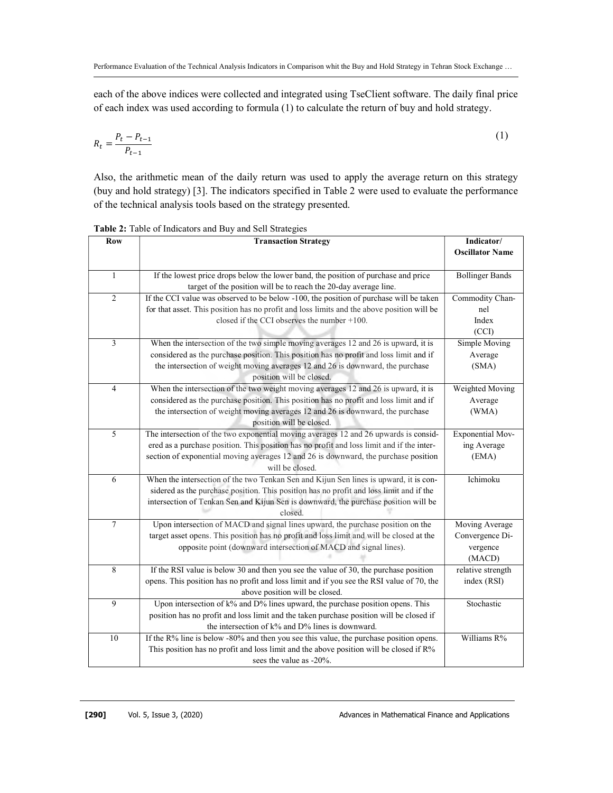each of the above indices were collected and integrated using TseClient software. The daily final price of each index was used according to formula (1) to calculate the return of buy and hold strategy.

$$
R_t = \frac{P_t - P_{t-1}}{P_{t-1}}
$$
 (1)

Also, the arithmetic mean of the daily return was used to apply the average return on this strategy (buy and hold strategy) [3]. The indicators specified in Table 2 were used to evaluate the performance of the technical analysis tools based on the strategy presented.

Indicator/ Oscillator Name Row Transaction Strategy If the lowest price drops below the lower band, the position of purchase and price Bollinger Bands target of the position will be to reach the 20-day average line. 1 Commodity Channel Index (CCI) If the CCI value was observed to be below -100, the position of purchase will be taken for that asset. This position has no profit and loss limits and the above position will be closed if the CCI observes the number +100. 2 Simple Moving Average (SMA) When the intersection of the two simple moving averages 12 and 26 is upward, it is considered as the purchase position. This position has no profit and loss limit and if the intersection of weight moving averages 12 and 26 is downward, the purchase position will be closed. 3 Weighted Moving Average (WMA) When the intersection of the two weight moving averages 12 and 26 is upward, it is considered as the purchase position. This position has no profit and loss limit and if the intersection of weight moving averages 12 and 26 is downward, the purchase position will be closed. 4 Exponential Moving Average (EMA) The intersection of the two exponential moving averages 12 and 26 upwards is considered as a purchase position. This position has no profit and loss limit and if the intersection of exponential moving averages 12 and 26 is downward, the purchase position will be closed. 5 When the intersection of the two Tenkan Sen and Kijun Sen lines is upward, it is considered as the purchase position. This position has no profit and loss limit and if the intersection of Tenkan Sen and Kijun Sen is downward, the purchase position will be closed. 6 Moving Average Convergence Divergence (MACD) Upon intersection of MACD and signal lines upward, the purchase position on the target asset opens. This position has no profit and loss limit and will be closed at the opposite point (downward intersection of MACD and signal lines). 7 relative strength index (RSI) If the RSI value is below 30 and then you see the value of 30, the purchase position opens. This position has no profit and loss limit and if you see the RSI value of 70, the above position will be closed. 8 Upon intersection of  $k\%$  and  $D\%$  lines upward, the purchase position opens. This Stochastic position has no profit and loss limit and the taken purchase position will be closed if the intersection of k% and D% lines is downward. 9 If the R% line is below -80% and then you see this value, the purchase position opens. Williams R% This position has no profit and loss limit and the above position will be closed if R% sees the value as -20%. 10

Table 2: Table of Indicators and Buy and Sell Strategies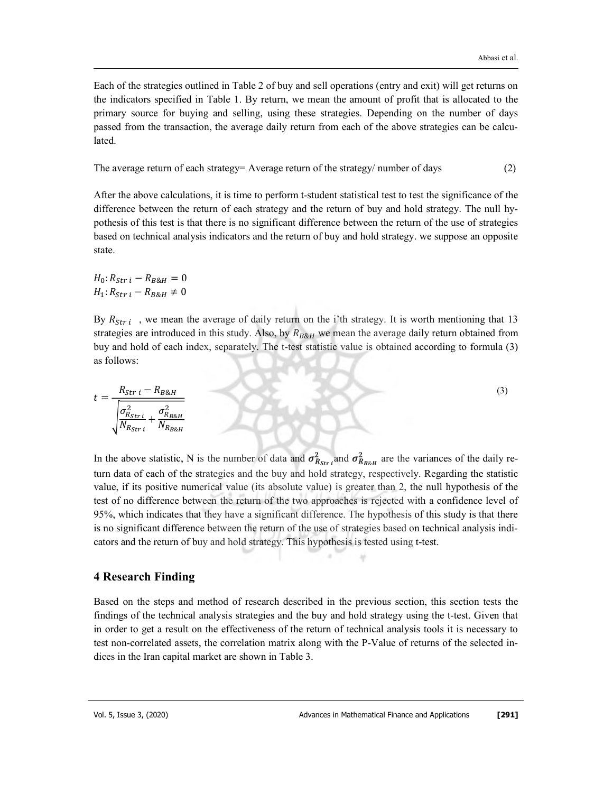Each of the strategies outlined in Table 2 of buy and sell operations (entry and exit) will get returns on the indicators specified in Table 1. By return, we mean the amount of profit that is allocated to the primary source for buying and selling, using these strategies. Depending on the number of days passed from the transaction, the average daily return from each of the above strategies can be calculated.

The average return of each strategy= Average return of the strategy/ number of days (2)

After the above calculations, it is time to perform t-student statistical test to test the significance of the difference between the return of each strategy and the return of buy and hold strategy. The null hypothesis of this test is that there is no significant difference between the return of the use of strategies based on technical analysis indicators and the return of buy and hold strategy. we suppose an opposite state.

 $H_0: R_{Str i} - R_{R8H} = 0$  $H_1: R_{Str\, i} - R_{B\&H} \neq 0$ 

By  $R_{Stri}$ , we mean the average of daily return on the i'th strategy. It is worth mentioning that 13 strategies are introduced in this study. Also, by  $R_{B\&H}$  we mean the average daily return obtained from buy and hold of each index, separately. The t-test statistic value is obtained according to formula (3) as follows:

$$
t = \frac{R_{Stri} - R_{B\&H}}{\sqrt{\frac{\sigma_{R_{Stri}}^2}{N_{R_{Stri}}} + \frac{\sigma_{R_{B\&H}}^2}{N_{R_{B\&H}}}}}
$$
(3)

In the above statistic, N is the number of data and  $\sigma_{R_{Str}}^2$  and  $\sigma_{R_{B\&H}}^2$  are the variances of the daily return data of each of the strategies and the buy and hold strategy, respectively. Regarding the statistic value, if its positive numerical value (its absolute value) is greater than 2, the null hypothesis of the test of no difference between the return of the two approaches is rejected with a confidence level of 95%, which indicates that they have a significant difference. The hypothesis of this study is that there is no significant difference between the return of the use of strategies based on technical analysis indicators and the return of buy and hold strategy. This hypothesis is tested using t-test.

# 4 Research Finding

Based on the steps and method of research described in the previous section, this section tests the findings of the technical analysis strategies and the buy and hold strategy using the t-test. Given that in order to get a result on the effectiveness of the return of technical analysis tools it is necessary to test non-correlated assets, the correlation matrix along with the P-Value of returns of the selected indices in the Iran capital market are shown in Table 3.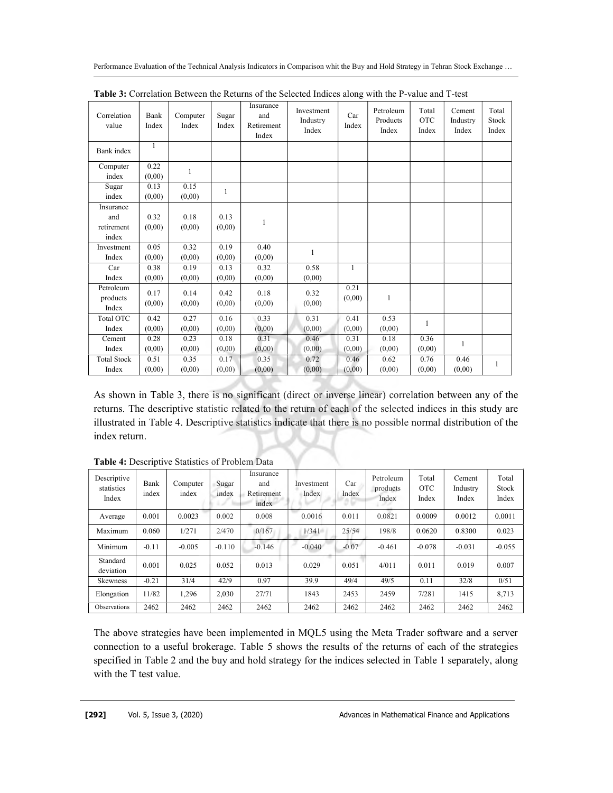|                                         |                |                   |                |                                         | $\alpha$ correlation Between the rectains of the senected male $\epsilon$ , while the $\alpha$ range and $\alpha$ |                |                                |                              |                             |                         |
|-----------------------------------------|----------------|-------------------|----------------|-----------------------------------------|-------------------------------------------------------------------------------------------------------------------|----------------|--------------------------------|------------------------------|-----------------------------|-------------------------|
| Correlation<br>value                    | Bank<br>Index  | Computer<br>Index | Sugar<br>Index | Insurance<br>and<br>Retirement<br>Index | Investment<br>Industry<br>Index                                                                                   | Car<br>Index   | Petroleum<br>Products<br>Index | Total<br><b>OTC</b><br>Index | Cement<br>Industry<br>Index | Total<br>Stock<br>Index |
| Bank index                              | $\mathbf{1}$   |                   |                |                                         |                                                                                                                   |                |                                |                              |                             |                         |
| Computer<br>index                       | 0.22<br>(0.00) | $\mathbf{1}$      |                |                                         |                                                                                                                   |                |                                |                              |                             |                         |
| Sugar<br>index                          | 0.13<br>(0,00) | 0.15<br>(0,00)    | 1              |                                         |                                                                                                                   |                |                                |                              |                             |                         |
| Insurance<br>and<br>retirement<br>index | 0.32<br>(0,00) | 0.18<br>(0,00)    | 0.13<br>(0,00) | 1                                       |                                                                                                                   |                |                                |                              |                             |                         |
| Investment<br>Index                     | 0.05<br>(0,00) | 0.32<br>(0,00)    | 0.19<br>(0,00) | 0.40<br>(0,00)                          | $\mathbf{1}$                                                                                                      |                |                                |                              |                             |                         |
| Car<br>Index                            | 0.38<br>(0,00) | 0.19<br>(0.00)    | 0.13<br>(0,00) | 0.32<br>(0,00)                          | 0.58<br>(0,00)                                                                                                    | $\mathbf{1}$   |                                |                              |                             |                         |
| Petroleum<br>products<br>Index          | 0.17<br>(0,00) | 0.14<br>(0,00)    | 0.42<br>(0,00) | 0.18<br>(0,00)                          | 0.32<br>(0,00)                                                                                                    | 0.21<br>(0.00) | $\mathbf{1}$                   |                              |                             |                         |
| Total OTC<br>Index                      | 0.42<br>(0,00) | 0.27<br>(0.00)    | 0.16<br>(0,00) | 0.33<br>(0,00)                          | 0.31<br>(0.00)                                                                                                    | 0.41<br>(0,00) | 0.53<br>(0,00)                 | 1                            |                             |                         |
| Cement<br>Index                         | 0.28<br>(0,00) | 0.23<br>(0.00)    | 0.18<br>(0,00) | 0.31<br>(0,00)                          | 0.46<br>(0,00)                                                                                                    | 0.31<br>(0,00) | 0.18<br>(0,00)                 | 0.36<br>(0,00)               | 1                           |                         |
| <b>Total Stock</b><br>Index             | 0.51<br>(0,00) | 0.35<br>(0,00)    | 0.17<br>(0,00) | 0.35<br>(0,00)                          | 0.72<br>(0.00)                                                                                                    | 0.46<br>(0,00) | 0.62<br>(0,00)                 | 0.76<br>(0,00)               | 0.46<br>(0,00)              | 1                       |

Table 3: Correlation Between the Returns of the Selected Indices along with the P-value and T-test

As shown in Table 3, there is no significant (direct or inverse linear) correlation between any of the returns. The descriptive statistic related to the return of each of the selected indices in this study are illustrated in Table 4. Descriptive statistics indicate that there is no possible normal distribution of the index return.

| Descriptive<br>statistics<br>Index | Bank<br>index | Computer<br>index | Sugar<br>index | Insurance<br>and<br>Retirement<br>index | Investment<br>Index | Car<br>Index | Petroleum<br>products<br>Index | Total<br><b>OTC</b><br>Index | Cement<br>Industry<br>Index | Total<br>Stock<br>Index |
|------------------------------------|---------------|-------------------|----------------|-----------------------------------------|---------------------|--------------|--------------------------------|------------------------------|-----------------------------|-------------------------|
| Average                            | 0.001         | 0.0023            | 0.002          | 0.008                                   | 0.0016              | 0.011        | 0.0821                         | 0.0009                       | 0.0012                      | 0.0011                  |
| Maximum                            | 0.060         | 1/271             | 2/470          | 0/167                                   | 1/341               | 25/54        | 198/8                          | 0.0620                       | 0.8300                      | 0.023                   |
| Minimum                            | $-0.11$       | $-0.005$          | $-0.110$       | $-0.146$                                | $-0.040$            | $-0.07$      | $-0.461$                       | $-0.078$                     | $-0.031$                    | $-0.055$                |
| Standard<br>deviation              | 0.001         | 0.025             | 0.052          | 0.013                                   | 0.029               | 0.051        | 4/011                          | 0.011                        | 0.019                       | 0.007                   |
| <b>Skewness</b>                    | $-0.21$       | 31/4              | 42/9           | 0.97                                    | 39.9                | 49/4         | 49/5                           | 0.11                         | 32/8                        | 0/51                    |
| Elongation                         | 11/82         | 1.296             | 2.030          | 27/71                                   | 1843                | 2453         | 2459                           | 7/281                        | 1415                        | 8.713                   |
| Observations                       | 2462          | 2462              | 2462           | 2462                                    | 2462                | 2462         | 2462                           | 2462                         | 2462                        | 2462                    |

Table 4: Descriptive Statistics of Problem Data

The above strategies have been implemented in MQL5 using the Meta Trader software and a server connection to a useful brokerage. Table 5 shows the results of the returns of each of the strategies specified in Table 2 and the buy and hold strategy for the indices selected in Table 1 separately, along with the T test value.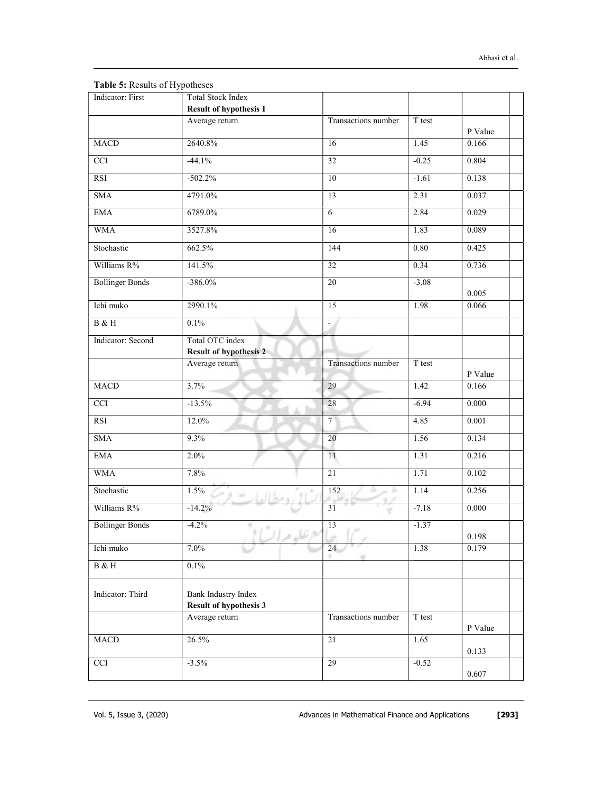| Indicator: First       | <b>Total Stock Index</b><br><b>Result of hypothesis 1</b> |                          |          |                |
|------------------------|-----------------------------------------------------------|--------------------------|----------|----------------|
|                        | Average return                                            | Transactions number      | T test   | P Value        |
| <b>MACD</b>            | 2640.8%                                                   | 16                       | 1.45     | 0.166          |
| $\overline{cc}$        | $-44.1%$                                                  | $\overline{32}$          | $-0.25$  | 0.804          |
| RSI                    | $-502.2%$                                                 | 10                       | $-1.61$  | 0.138          |
| <b>SMA</b>             | 4791.0%                                                   | 13                       | 2.31     | 0.037          |
| <b>EMA</b>             | 6789.0%                                                   | $\overline{6}$           | 2.84     | 0.029          |
| <b>WMA</b>             | 3527.8%                                                   | 16                       | 1.83     | 0.089          |
| Stochastic             | 662.5%                                                    | 144                      | $0.80\,$ | 0.425          |
| Williams R%            | 141.5%                                                    | 32                       | 0.34     | 0.736          |
| <b>Bollinger Bonds</b> | $-386.0%$                                                 | 20                       | $-3.08$  |                |
| Ichi muko              | 2990.1%                                                   | 15                       | 1.98     | 0.005<br>0.066 |
| B & H                  | 0.1%                                                      | $\overline{\phantom{a}}$ |          |                |
| Indicator: Second      | Total OTC index<br><b>Result of hypothesis 2</b>          |                          |          |                |
|                        | Average return                                            | Transactions number      | T test   | P Value        |
| <b>MACD</b>            | 3.7%                                                      | 29                       | 1.42     | 0.166          |
| $\overline{cc}$        | $-13.5%$                                                  | 28                       | $-6.94$  | 0.000          |
| <b>RSI</b>             | 12.0%                                                     | $7^{\circ}$              | 4.85     | 0.001          |
| <b>SMA</b>             | 9.3%                                                      | 20                       | 1.56     | 0.134          |
| <b>EMA</b>             | 2.0%                                                      | 11                       | 1.31     | 0.216          |
| <b>WMA</b>             | 7.8%                                                      | 21                       | 1.71     | 0.102          |
| Stochastic             | 1.5%                                                      | 152                      | 1.14     | 0.256          |
| Williams R%            | $-14.2%$                                                  | 31                       | $-7.18$  | 0.000          |
| <b>Bollinger Bonds</b> | $-4.2%$<br>田                                              | 13                       | $-1.37$  | 0.198          |
| Ichi muko              | 7.0%                                                      | 24                       | 1.38     | 0.179          |
| $B$ & H                | 0.1%                                                      |                          |          |                |
| Indicator: Third       | Bank Industry Index<br><b>Result of hypothesis 3</b>      |                          |          |                |
|                        | Average return                                            | Transactions number      | T test   | P Value        |
| MACD                   | 26.5%                                                     | 21                       | 1.65     | 0.133          |
| <b>CCI</b>             | $-3.5\%$                                                  | 29                       | $-0.52$  | 0.607          |

Table 5: Results of Hypotheses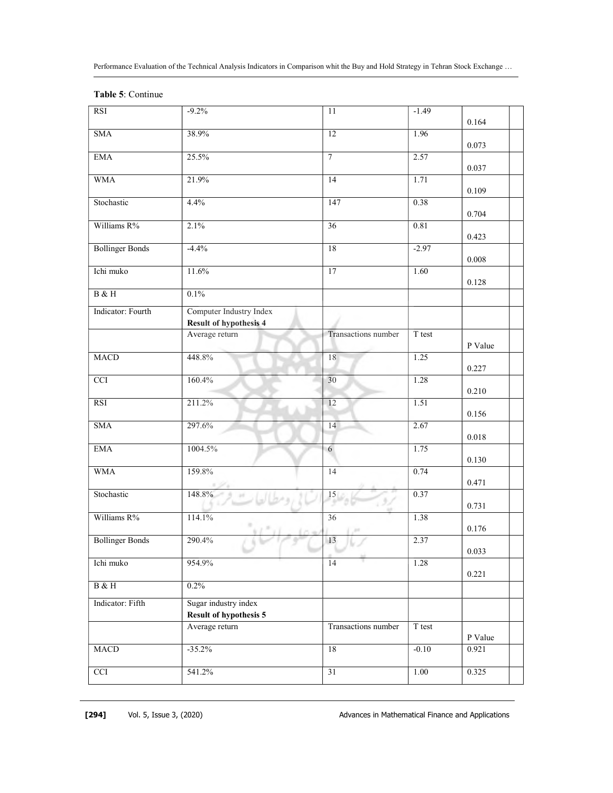|  | Table 5: Continue |
|--|-------------------|
|--|-------------------|

| <b>RSI</b>             | $-9.2%$                                                  | 11                    | $-1.49$ | 0.164     |
|------------------------|----------------------------------------------------------|-----------------------|---------|-----------|
| <b>SMA</b>             | 38.9%                                                    | 12                    | 1.96    | 0.073     |
| <b>EMA</b>             | 25.5%                                                    | $\overline{7}$        | 2.57    | 0.037     |
| <b>WMA</b>             | 21.9%                                                    | 14                    | 1.71    | 0.109     |
| Stochastic             | 4.4%                                                     | 147                   | 0.38    | 0.704     |
| Williams R%            | 2.1%                                                     | 36                    | 0.81    | 0.423     |
| <b>Bollinger Bonds</b> | $-4.4%$                                                  | 18                    | $-2.97$ |           |
| Ichi muko              | 11.6%                                                    | 17                    | 1.60    | 0.008     |
| $\rm B$ & $\rm H$      | 0.1%                                                     |                       |         | 0.128     |
| Indicator: Fourth      | Computer Industry Index<br><b>Result of hypothesis 4</b> |                       |         |           |
|                        | Average return                                           | Transactions number   | T test  | P Value   |
| <b>MACD</b>            | 448.8%                                                   | 18                    | 1.25    | 0.227     |
| $\overline{cc}$        | 160.4%                                                   | 30                    | 1.28    | 0.210     |
| RSI                    | 211.2%                                                   | 12                    | 1.51    | 0.156     |
| <b>SMA</b>             | 297.6%                                                   | 14                    | 2.67    | $0.018\,$ |
| <b>EMA</b>             | 1004.5%                                                  | 6                     | 1.75    | 0.130     |
| <b>WMA</b>             | 159.8%                                                   | 14                    | 0.74    | 0.471     |
| Stochastic             | $\frac{148.8\%}{148.8\%}$                                | $\sqrt{\frac{15}{7}}$ | 0.37    |           |
| Williams R%            | 114.1%                                                   | 36                    | 1.38    | 0.731     |
| <b>Bollinger Bonds</b> | 290.4%                                                   | 13                    | 2.37    | 0.176     |
| Ichi muko              | 954.9%                                                   | 14                    | 1.28    | 0.033     |
| $B \& H$               | $0.2\%$                                                  |                       |         | 0.221     |
| Indicator: Fifth       | Sugar industry index<br><b>Result of hypothesis 5</b>    |                       |         |           |
|                        | Average return                                           | Transactions number   | T test  | P Value   |
| MACD                   | $-35.2%$                                                 | 18                    | $-0.10$ | 0.921     |
| <b>CCI</b>             | 541.2%                                                   | 31                    | 1.00    | 0.325     |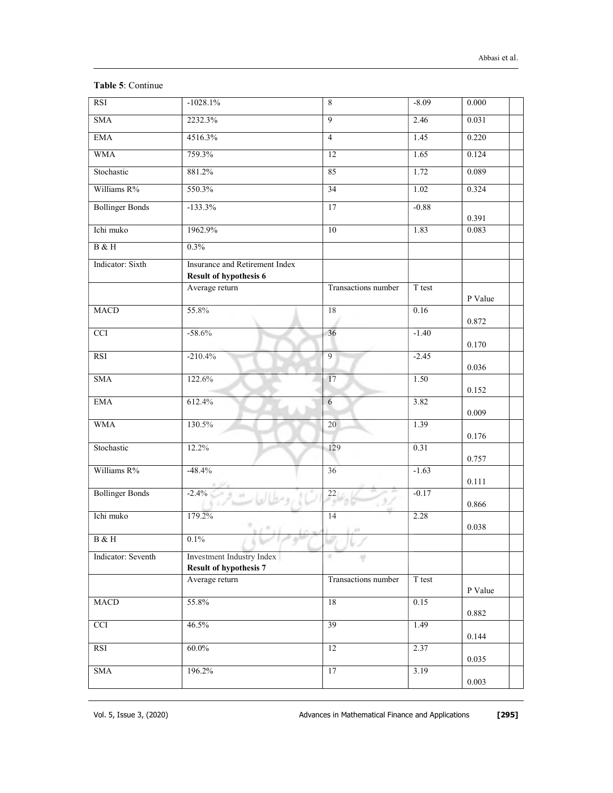|  | Table 5: Continue |
|--|-------------------|
|--|-------------------|

| RSI                    | $-1028.1\%$                                                | $\,8\,$             | $-8.09$ | 0.000   |
|------------------------|------------------------------------------------------------|---------------------|---------|---------|
| <b>SMA</b>             | 2232.3%                                                    | $\overline{9}$      | 2.46    | 0.031   |
| <b>EMA</b>             | 4516.3%                                                    | $\overline{4}$      | 1.45    | 0.220   |
| <b>WMA</b>             | 759.3%                                                     | 12                  | 1.65    | 0.124   |
| Stochastic             | 881.2%                                                     | 85                  | 1.72    | 0.089   |
| Williams R%            | 550.3%                                                     | 34                  | 1.02    | 0.324   |
| <b>Bollinger Bonds</b> | $-133.3%$                                                  | 17                  | $-0.88$ | 0.391   |
| Ichi muko              | 1962.9%                                                    | 10                  | 1.83    | 0.083   |
| B & H                  | 0.3%                                                       |                     |         |         |
| Indicator: Sixth       | Insurance and Retirement Index                             |                     |         |         |
|                        | <b>Result of hypothesis 6</b>                              |                     |         |         |
|                        | Average return                                             | Transactions number | T test  | P Value |
| <b>MACD</b>            | 55.8%                                                      | 18                  | 0.16    | 0.872   |
| $\overline{cc}$        | $-58.6%$                                                   | 36                  | $-1.40$ | 0.170   |
| RSI                    | $-210.4%$                                                  | $\overline{9}$      | $-2.45$ | 0.036   |
| <b>SMA</b>             | 122.6%                                                     | 17                  | 1.50    | 0.152   |
| <b>EMA</b>             | 612.4%                                                     | 6                   | 3.82    | 0.009   |
| <b>WMA</b>             | 130.5%                                                     | 20                  | 1.39    | 0.176   |
| Stochastic             | 12.2%                                                      | 129                 | 0.31    | 0.757   |
| Williams R%            | $-48.4%$                                                   | $\overline{36}$     | $-1.63$ | 0.111   |
| <b>Bollinger Bonds</b> | $-2.4\%$                                                   | $^{22}$             | $-0.17$ | 0.866   |
| Ichi muko              | 179.2%                                                     | 14                  | 2.28    | 0.038   |
| B & H                  | $0.1\%$                                                    | re al               |         |         |
| Indicator: Seventh     | Investment Industry Index<br><b>Result of hypothesis 7</b> | a.<br>٠             |         |         |
|                        | Average return                                             | Transactions number | T test  | P Value |
| MACD                   | 55.8%                                                      | 18                  | 0.15    | 0.882   |
| <b>CCI</b>             | 46.5%                                                      | 39                  | 1.49    | 0.144   |
| RSI                    | $60.0\%$                                                   | $\overline{12}$     | 2.37    | 0.035   |
| $\operatorname{SMA}$   | 196.2%                                                     | 17                  | 3.19    |         |
|                        |                                                            |                     |         | 0.003   |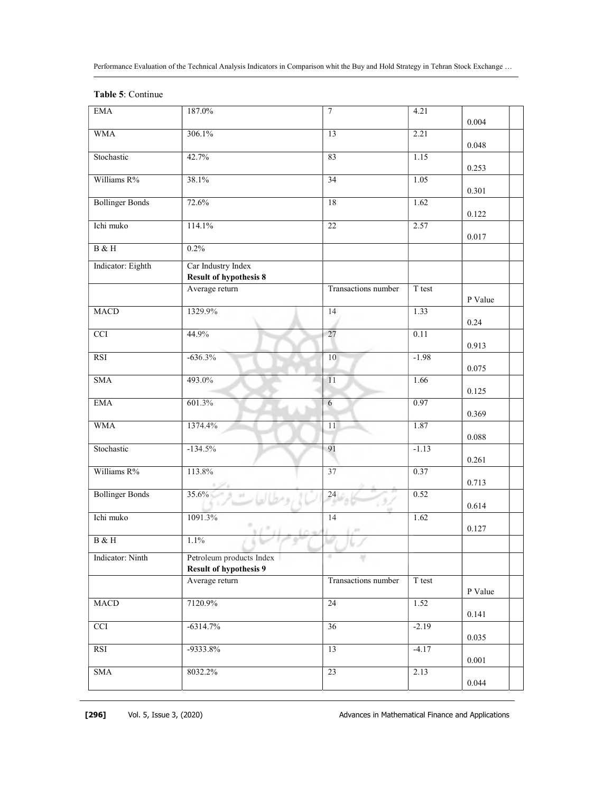| <b>EMA</b>                | 187.0%                                                    | 7                   | 4.21    | 0.004     |
|---------------------------|-----------------------------------------------------------|---------------------|---------|-----------|
| <b>WMA</b>                | 306.1%                                                    | 13                  | 2.21    | 0.048     |
| Stochastic                | 42.7%                                                     | 83                  | 1.15    | 0.253     |
| Williams R%               | 38.1%                                                     | 34                  | 1.05    | 0.301     |
| <b>Bollinger Bonds</b>    | 72.6%                                                     | 18                  | 1.62    | 0.122     |
| Ichi muko                 | 114.1%                                                    | 22                  | 2.57    | 0.017     |
| $\rm B$ & $\rm H$         | 0.2%                                                      |                     |         |           |
| Indicator: Eighth         | Car Industry Index                                        |                     |         |           |
|                           | <b>Result of hypothesis 8</b>                             |                     |         |           |
|                           | Average return                                            | Transactions number | T test  | P Value   |
| <b>MACD</b>               | 1329.9%                                                   | 14                  | 1.33    | 0.24      |
| <b>CCI</b>                | 44.9%                                                     | 27                  | 0.11    | 0.913     |
| <b>RSI</b>                | $-636.3%$                                                 | 10                  | $-1.98$ | 0.075     |
| <b>SMA</b>                | 493.0%                                                    | 11                  | 1.66    | 0.125     |
| <b>EMA</b>                | 601.3%                                                    | 6                   | 0.97    | 0.369     |
| <b>WMA</b>                | 1374.4%                                                   | 11                  | 1.87    | 0.088     |
| Stochastic                | $-134.5%$                                                 | 91                  | $-1.13$ | 0.261     |
| Williams R%               | 113.8%                                                    | 37                  | 0.37    | 0.713     |
|                           |                                                           |                     |         |           |
| <b>Bollinger Bonds</b>    | $35.6\%$                                                  | 24                  | 0.52    | 0.614     |
| Ichi muko                 | 1091.3%                                                   | 14                  | 1.62    | 0.127     |
| B & H                     | 1.1%                                                      |                     |         |           |
| Indicator: Ninth          | Petroleum products Index<br><b>Result of hypothesis 9</b> | 4                   |         |           |
|                           | Average return                                            | Transactions number | T test  | P Value   |
| MACD                      | 7120.9%                                                   | 24                  | 1.52    | 0.141     |
| $\ensuremath{\text{CCI}}$ | $-6314.7%$                                                | 36                  | $-2.19$ | 0.035     |
| RSI                       | -9333.8%                                                  | 13                  | $-4.17$ | $0.001\,$ |
|                           |                                                           |                     |         |           |
| <b>SMA</b>                | 8032.2%                                                   | 23                  | 2.13    | 0.044     |

## Table 5: Continue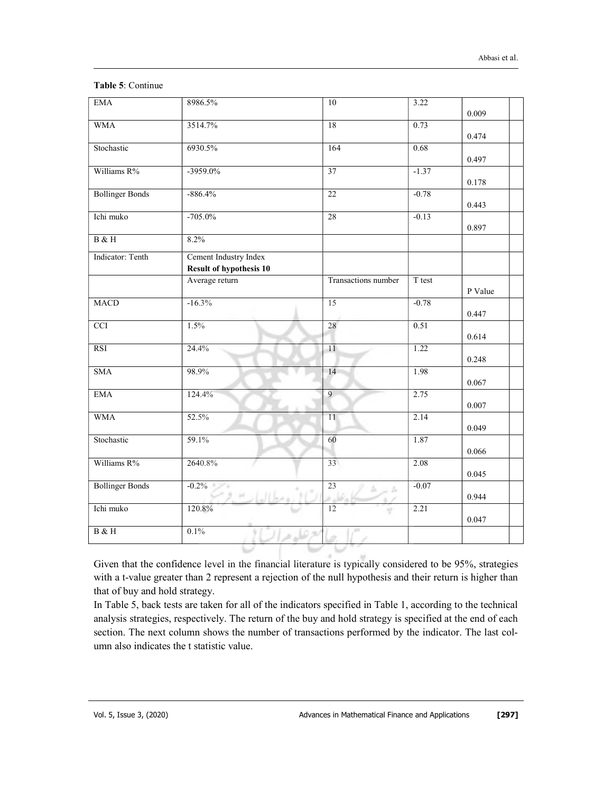| <b>EMA</b>             | 8986.5%                        | 10                                         | 3.22    |         |
|------------------------|--------------------------------|--------------------------------------------|---------|---------|
|                        |                                |                                            |         | 0.009   |
| <b>WMA</b>             | 3514.7%                        | 18                                         | 0.73    |         |
|                        |                                |                                            |         | 0.474   |
| Stochastic             | 6930.5%                        | 164                                        | 0.68    |         |
|                        |                                |                                            |         | 0.497   |
| Williams R%            | $-3959.0%$                     | $\overline{37}$                            | $-1.37$ |         |
|                        |                                |                                            |         | 0.178   |
| <b>Bollinger Bonds</b> | $-886.4%$                      | $\overline{22}$                            | $-0.78$ |         |
|                        |                                |                                            |         | 0.443   |
| Ichi muko              | $-705.0%$                      | 28                                         | $-0.13$ |         |
|                        |                                |                                            |         | 0.897   |
| B & H                  | 8.2%                           |                                            |         |         |
| Indicator: Tenth       | Cement Industry Index          |                                            |         |         |
|                        | <b>Result of hypothesis 10</b> |                                            |         |         |
|                        | Average return                 | Transactions number                        | T test  |         |
|                        |                                |                                            |         | P Value |
| <b>MACD</b>            | $-16.3%$                       | 15                                         | $-0.78$ |         |
|                        |                                |                                            |         | 0.447   |
| CCI                    | 1.5%                           | 28                                         | 0.51    |         |
|                        |                                |                                            |         | 0.614   |
| <b>RSI</b>             | 24.4%                          | 11                                         | 1.22    |         |
|                        |                                |                                            |         | 0.248   |
| <b>SMA</b>             | 98.9%                          | 14                                         | 1.98    |         |
|                        |                                |                                            |         | 0.067   |
| <b>EMA</b>             | 124.4%                         | 9                                          | 2.75    |         |
|                        |                                |                                            |         | 0.007   |
| <b>WMA</b>             | 52.5%                          | 11                                         | 2.14    |         |
|                        |                                |                                            |         | 0.049   |
| Stochastic             | 59.1%                          | 60                                         | 1.87    |         |
|                        |                                |                                            |         | 0.066   |
| Williams R%            | 2640.8%                        | 33                                         | 2.08    |         |
|                        |                                |                                            |         | 0.045   |
| <b>Bollinger Bonds</b> | $-0.2\%$                       | $\overline{23}$<br>$\Delta \supset \Delta$ | $-0.07$ |         |
|                        | <b>IN</b>                      |                                            |         | 0.944   |
| Ichi muko              | 120.8%                         | 12                                         | 2.21    |         |
|                        |                                |                                            |         | 0.047   |
| B & H                  | 0.1%<br>心ま                     |                                            |         |         |
|                        |                                |                                            |         |         |

## Table 5: Continue

Given that the confidence level in the financial literature is typically considered to be 95%, strategies with a t-value greater than 2 represent a rejection of the null hypothesis and their return is higher than that of buy and hold strategy.

In Table 5, back tests are taken for all of the indicators specified in Table 1, according to the technical analysis strategies, respectively. The return of the buy and hold strategy is specified at the end of each section. The next column shows the number of transactions performed by the indicator. The last column also indicates the t statistic value.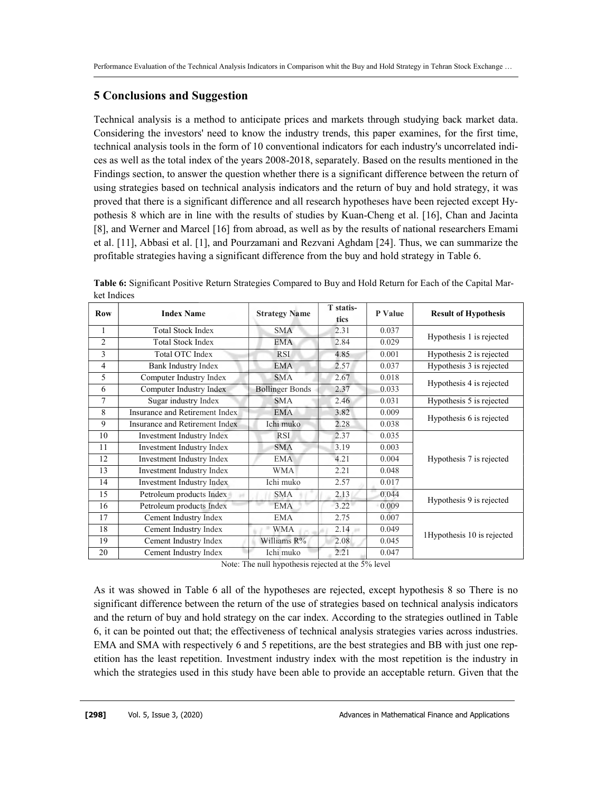# 5 Conclusions and Suggestion

Technical analysis is a method to anticipate prices and markets through studying back market data. Considering the investors' need to know the industry trends, this paper examines, for the first time, technical analysis tools in the form of 10 conventional indicators for each industry's uncorrelated indices as well as the total index of the years 2008-2018, separately. Based on the results mentioned in the Findings section, to answer the question whether there is a significant difference between the return of using strategies based on technical analysis indicators and the return of buy and hold strategy, it was proved that there is a significant difference and all research hypotheses have been rejected except Hypothesis 8 which are in line with the results of studies by Kuan-Cheng et al. [16], Chan and Jacinta [8], and Werner and Marcel [16] from abroad, as well as by the results of national researchers Emami et al. [11], Abbasi et al. [1], and Pourzamani and Rezvani Aghdam [24]. Thus, we can summarize the profitable strategies having a significant difference from the buy and hold strategy in Table 6.

| <b>Row</b>         | <b>Index Name</b>              | <b>Strategy Name</b>   | T statis-<br>tics | P Value | <b>Result of Hypothesis</b> |
|--------------------|--------------------------------|------------------------|-------------------|---------|-----------------------------|
| $\mathbf{1}$       | <b>Total Stock Index</b>       | <b>SMA</b>             | 2.31              | 0.037   | Hypothesis 1 is rejected    |
| $\mathfrak{D}_{1}$ | <b>Total Stock Index</b>       | EMA                    | 2.84              | 0.029   |                             |
| 3                  | Total OTC Index                | <b>RSI</b>             | 4.85              | 0.001   | Hypothesis 2 is rejected    |
| $\overline{4}$     | Bank Industry Index            | <b>EMA</b>             | 2.57              | 0.037   | Hypothesis 3 is rejected    |
| 5                  | Computer Industry Index        | <b>SMA</b>             | 2.67              | 0.018   | Hypothesis 4 is rejected    |
| 6                  | Computer Industry Index        | <b>Bollinger Bonds</b> | 2.37              | 0.033   |                             |
| 7                  | Sugar industry Index           | <b>SMA</b>             | 2.46              | 0.031   | Hypothesis 5 is rejected    |
| 8                  | Insurance and Retirement Index | <b>EMA</b>             | 3.82              | 0.009   |                             |
| 9                  | Insurance and Retirement Index | Ichi muko              | 2.28              | 0.038   | Hypothesis 6 is rejected    |
| 10                 | Investment Industry Index      | <b>RSI</b>             | 2.37              | 0.035   |                             |
| 11                 | Investment Industry Index      | <b>SMA</b>             | 3.19              | 0.003   |                             |
| 12                 | Investment Industry Index      | <b>EMA</b>             | 4.21              | 0.004   | Hypothesis 7 is rejected    |
| 13                 | Investment Industry Index      | <b>WMA</b>             | 2.21              | 0.048   |                             |
| 14                 | Investment Industry Index      | Ichi muko              | 2.57              | 0.017   |                             |
| 15                 | Petroleum products Index       | <b>SMA</b>             | 2.13              | 0.044   |                             |
| 16                 | Petroleum products Index       | <b>EMA</b>             | 3.22              | 0.009   | Hypothesis 9 is rejected    |
| 17                 | Cement Industry Index          | <b>EMA</b>             | 2.75              | 0.007   |                             |
| 18                 | Cement Industry Index          | WMA                    | 2.14<br>and .     | 0.049   | 1Hypothesis 10 is rejected  |
| 19                 | Cement Industry Index          | Williams R%            | 2.08              | 0.045   |                             |
| 20                 | Cement Industry Index          | Ichi muko              | 2.21              | 0.047   |                             |

Table 6: Significant Positive Return Strategies Compared to Buy and Hold Return for Each of the Capital Market Indices

Note: The null hypothesis rejected at the 5% level

As it was showed in Table 6 all of the hypotheses are rejected, except hypothesis 8 so There is no significant difference between the return of the use of strategies based on technical analysis indicators and the return of buy and hold strategy on the car index. According to the strategies outlined in Table 6, it can be pointed out that; the effectiveness of technical analysis strategies varies across industries. EMA and SMA with respectively 6 and 5 repetitions, are the best strategies and BB with just one repetition has the least repetition. Investment industry index with the most repetition is the industry in which the strategies used in this study have been able to provide an acceptable return. Given that the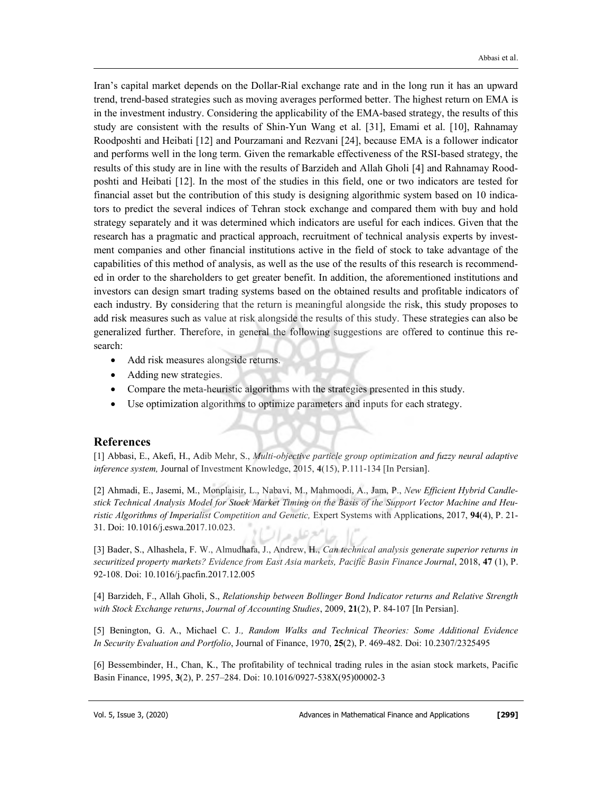Iran's capital market depends on the Dollar-Rial exchange rate and in the long run it has an upward trend, trend-based strategies such as moving averages performed better. The highest return on EMA is in the investment industry. Considering the applicability of the EMA-based strategy, the results of this study are consistent with the results of Shin-Yun Wang et al. [31], Emami et al. [10], Rahnamay Roodposhti and Heibati [12] and Pourzamani and Rezvani [24], because EMA is a follower indicator and performs well in the long term. Given the remarkable effectiveness of the RSI-based strategy, the results of this study are in line with the results of Barzideh and Allah Gholi [4] and Rahnamay Roodposhti and Heibati [12]. In the most of the studies in this field, one or two indicators are tested for financial asset but the contribution of this study is designing algorithmic system based on 10 indicators to predict the several indices of Tehran stock exchange and compared them with buy and hold strategy separately and it was determined which indicators are useful for each indices. Given that the research has a pragmatic and practical approach, recruitment of technical analysis experts by investment companies and other financial institutions active in the field of stock to take advantage of the capabilities of this method of analysis, as well as the use of the results of this research is recommended in order to the shareholders to get greater benefit. In addition, the aforementioned institutions and investors can design smart trading systems based on the obtained results and profitable indicators of each industry. By considering that the return is meaningful alongside the risk, this study proposes to add risk measures such as value at risk alongside the results of this study. These strategies can also be generalized further. Therefore, in general the following suggestions are offered to continue this research:

- Add risk measures alongside returns.
- Adding new strategies.
- Compare the meta-heuristic algorithms with the strategies presented in this study.
- Use optimization algorithms to optimize parameters and inputs for each strategy.

## References

[1] Abbasi, E., Akefi, H., Adib Mehr, S., Multi-objective particle group optimization and fuzzy neural adaptive inference system, Journal of Investment Knowledge, 2015, 4(15), P.111-134 [In Persian].

[2] Ahmadi, E., Jasemi, M., Monplaisir, L., Nabavi, M., Mahmoodi, A., Jam, P., New Efficient Hybrid Candlestick Technical Analysis Model for Stock Market Timing on the Basis of the Support Vector Machine and Heuristic Algorithms of Imperialist Competition and Genetic, Expert Systems with Applications, 2017, 94(4), P. 21-31. Doi: 10.1016/j.eswa.2017.10.023.

[3] Bader, S., Alhashela, F. W., Almudhafa, J., Andrew, H., Can technical analysis generate superior returns in securitized property markets? Evidence from East Asia markets, Pacific Basin Finance Journal, 2018, 47 (1), P. 92-108. Doi: 10.1016/j.pacfin.2017.12.005

[4] Barzideh, F., Allah Gholi, S., Relationship between Bollinger Bond Indicator returns and Relative Strength with Stock Exchange returns, Journal of Accounting Studies, 2009, 21(2), P. 84-107 [In Persian].

[5] Benington, G. A., Michael C. J., Random Walks and Technical Theories: Some Additional Evidence In Security Evaluation and Portfolio, Journal of Finance, 1970, 25(2), P. 469-482. Doi: 10.2307/2325495

[6] Bessembinder, H., Chan, K., The profitability of technical trading rules in the asian stock markets, Pacific Basin Finance, 1995, 3(2), P. 257–284. Doi: 10.1016/0927-538X(95)00002-3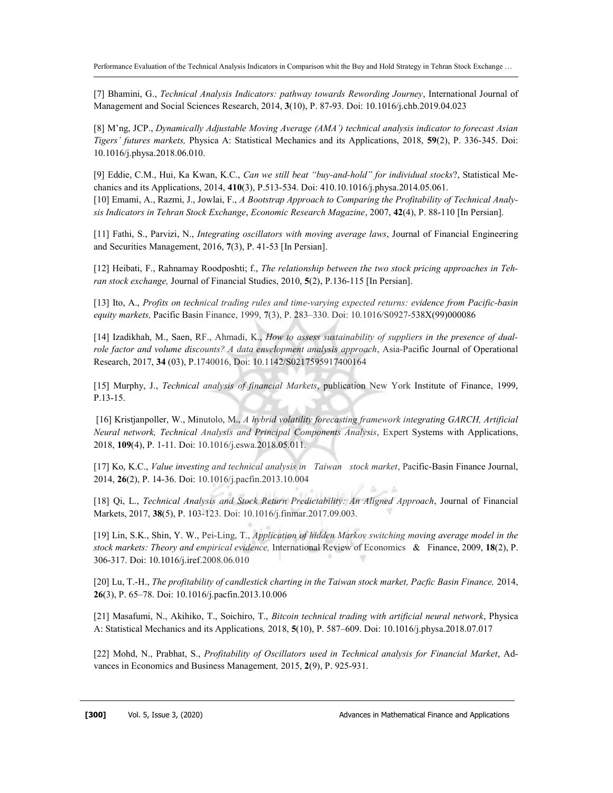[7] Bhamini, G., Technical Analysis Indicators: pathway towards Rewording Journey, International Journal of Management and Social Sciences Research, 2014, 3(10), P. 87-93. Doi: 10.1016/j.chb.2019.04.023

[8] M'ng, JCP., Dynamically Adjustable Moving Average (AMA') technical analysis indicator to forecast Asian Tigers' futures markets, Physica A: Statistical Mechanics and its Applications, 2018, 59(2), P. 336-345. Doi: 10.1016/j.physa.2018.06.010.

[9] Eddie, C.M., Hui, Ka Kwan, K.C., Can we still beat "buy-and-hold" for individual stocks?, Statistical Mechanics and its Applications, 2014, 410(3), P.513-534. Doi: 410.10.1016/j.physa.2014.05.061. [10] Emami, A., Razmi, J., Jowlai, F., A Bootstrap Approach to Comparing the Profitability of Technical Analysis Indicators in Tehran Stock Exchange, Economic Research Magazine, 2007, 42(4), P. 88-110 [In Persian].

[11] Fathi, S., Parvizi, N., Integrating oscillators with moving average laws, Journal of Financial Engineering and Securities Management, 2016, 7(3), P. 41-53 [In Persian].

[12] Heibati, F., Rahnamay Roodposhti; f., The relationship between the two stock pricing approaches in Tehran stock exchange, Journal of Financial Studies, 2010, 5(2), P.136-115 [In Persian].

[13] Ito, A., Profits on technical trading rules and time-varying expected returns: evidence from Pacific-basin equity markets, Pacific Basin Finance, 1999, 7(3), P. 283-330. Doi: 10.1016/S0927-538X(99)000086

[14] Izadikhah, M., Saen, RF., Ahmadi, K., How to assess sustainability of suppliers in the presence of dualrole factor and volume discounts? A data envelopment analysis approach, Asia-Pacific Journal of Operational Research, 2017, 34 (03), P.1740016, Doi: 10.1142/S0217595917400164

[15] Murphy, J., Technical analysis of financial Markets, publication New York Institute of Finance, 1999, P.13-15.

 [16] Kristjanpoller, W., Minutolo, M., A hybrid volatility forecasting framework integrating GARCH, Artificial Neural network, Technical Analysis and Principal Components Analysis, Expert Systems with Applications, 2018, 109(4), P. 1-11. Doi: 10.1016/j.eswa.2018.05.011.

[17] Ko, K.C., Value investing and technical analysis in Taiwan stock market, Pacific-Basin Finance Journal, 2014, 26(2), P. 14-36. Doi: 10.1016/j.pacfin.2013.10.004

[18] Qi, L., Technical Analysis and Stock Return Predictability: An Aligned Approach, Journal of Financial Markets, 2017, 38(5), P. 103-123. Doi: 10.1016/j.finmar.2017.09.003.

[19] Lin, S.K., Shin, Y. W., Pei-Ling, T., Application of hidden Markov switching moving average model in the stock markets: Theory and empirical evidence, International Review of Economics & Finance, 2009, 18(2), P. 306-317. Doi: 10.1016/j.iref.2008.06.010

[20] Lu, T.-H., The profitability of candlestick charting in the Taiwan stock market, Pacfic Basin Finance, 2014, 26(3), P. 65–78. Doi: 10.1016/j.pacfin.2013.10.006

[21] Masafumi, N., Akihiko, T., Soichiro, T., Bitcoin technical trading with artificial neural network, Physica A: Statistical Mechanics and its Applications, 2018, 5(10), P. 587–609. Doi: 10.1016/j.physa.2018.07.017

[22] Mohd, N., Prabhat, S., Profitability of Oscillators used in Technical analysis for Financial Market, Advances in Economics and Business Management, 2015, 2(9), P. 925-931.